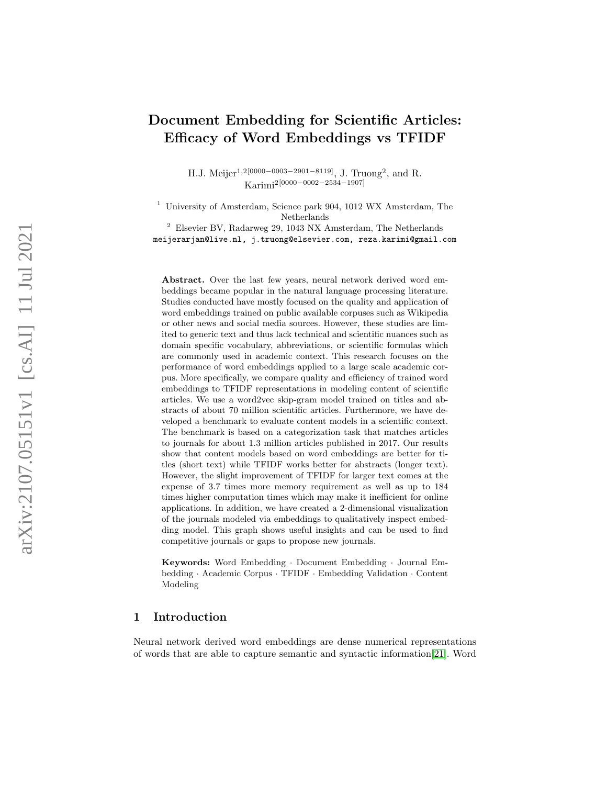# Document Embedding for Scientific Articles: Efficacy of Word Embeddings vs TFIDF

H.J. Meijer<sup>1,2[0000–0003–2901–8119]</sup>, J. Truong<sup>2</sup>, and R. Karimi2[0000 −0002 −2534 −1907]

<sup>1</sup> University of Amsterdam, Science park 904, 1012 WX Amsterdam, The Netherlands

<sup>2</sup> Elsevier BV, Radarweg 29, 1043 NX Amsterdam, The Netherlands meijerarjan@live.nl, j.truong@elsevier.com, reza.karimi@gmail.com

Abstract. Over the last few years, neural network derived word embeddings became popular in the natural language processing literature. Studies conducted have mostly focused on the quality and application of word embeddings trained on public available corpuses such as Wikipedia or other news and social media sources. However, these studies are limited to generic text and thus lack technical and scientific nuances such as domain specific vocabulary, abbreviations, or scientific formulas which are commonly used in academic context. This research focuses on the performance of word embeddings applied to a large scale academic corpus. More specifically, we compare quality and efficiency of trained word embeddings to TFIDF representations in modeling content of scientific articles. We use a word2vec skip-gram model trained on titles and abstracts of about 70 million scientific articles. Furthermore, we have developed a benchmark to evaluate content models in a scientific context. The benchmark is based on a categorization task that matches articles to journals for about 1.3 million articles published in 2017. Our results show that content models based on word embeddings are better for titles (short text) while TFIDF works better for abstracts (longer text). However, the slight improvement of TFIDF for larger text comes at the expense of 3.7 times more memory requirement as well as up to 184 times higher computation times which may make it inefficient for online applications. In addition, we have created a 2-dimensional visualization of the journals modeled via embeddings to qualitatively inspect embedding model. This graph shows useful insights and can be used to find competitive journals or gaps to propose new journals.

Keywords: Word Embedding · Document Embedding · Journal Embedding · Academic Corpus · TFIDF · Embedding Validation · Content Modeling

### 1 Introduction

Neural network derived word embeddings are dense numerical representations of words that are able to capture semantic and syntactic information[\[21\]](#page-13-0). Word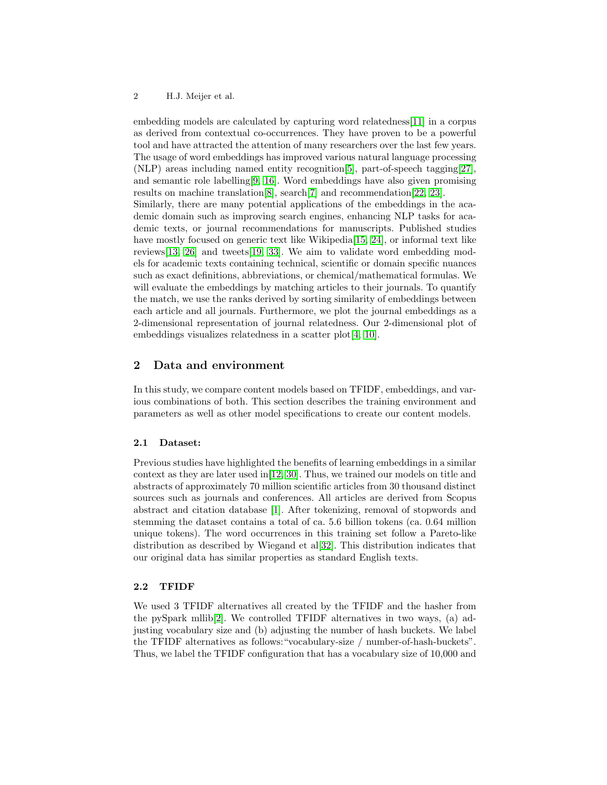embedding models are calculated by capturing word relatedness[\[11\]](#page-12-0) in a corpus as derived from contextual co-occurrences. They have proven to be a powerful tool and have attracted the attention of many researchers over the last few years. The usage of word embeddings has improved various natural language processing (NLP) areas including named entity recognition[\[5\]](#page-12-1), part-of-speech tagging[\[27\]](#page-13-1), and semantic role labelling[\[9,](#page-12-2) [16\]](#page-12-3). Word embeddings have also given promising results on machine translation[\[8\]](#page-12-4), search[\[7\]](#page-12-5) and recommendation[\[22,](#page-13-2) [23\]](#page-13-3). Similarly, there are many potential applications of the embeddings in the academic domain such as improving search engines, enhancing NLP tasks for academic texts, or journal recommendations for manuscripts. Published studies have mostly focused on generic text like Wikipedia<sup>[\[15,](#page-12-6) [24\]](#page-13-4)</sup>, or informal text like reviews[\[13,](#page-12-7) [26\]](#page-13-5) and tweets[\[19,](#page-13-6) [33\]](#page-13-7). We aim to validate word embedding models for academic texts containing technical, scientific or domain specific nuances such as exact definitions, abbreviations, or chemical/mathematical formulas. We will evaluate the embeddings by matching articles to their journals. To quantify the match, we use the ranks derived by sorting similarity of embeddings between each article and all journals. Furthermore, we plot the journal embeddings as a 2-dimensional representation of journal relatedness. Our 2-dimensional plot of embeddings visualizes relatedness in a scatter plot [\[4,](#page-12-8) [10\]](#page-12-9).

### 2 Data and environment

In this study, we compare content models based on TFIDF, embeddings, and various combinations of both. This section describes the training environment and parameters as well as other model specifications to create our content models.

#### 2.1 Dataset:

Previous studies have highlighted the benefits of learning embeddings in a similar context as they are later used in[\[12,](#page-12-10) [30\]](#page-13-8). Thus, we trained our models on title and abstracts of approximately 70 million scientific articles from 30 thousand distinct sources such as journals and conferences. All articles are derived from Scopus abstract and citation database [\[1\]](#page-12-11). After tokenizing, removal of stopwords and stemming the dataset contains a total of ca. 5.6 billion tokens (ca. 0.64 million unique tokens). The word occurrences in this training set follow a Pareto-like distribution as described by Wiegand et al[\[32\]](#page-13-9). This distribution indicates that our original data has similar properties as standard English texts.

#### 2.2 TFIDF

We used 3 TFIDF alternatives all created by the TFIDF and the hasher from the pySpark mllib[\[2\]](#page-12-12). We controlled TFIDF alternatives in two ways, (a) adjusting vocabulary size and (b) adjusting the number of hash buckets. We label the TFIDF alternatives as follows:"vocabulary-size / number-of-hash-buckets". Thus, we label the TFIDF configuration that has a vocabulary size of 10,000 and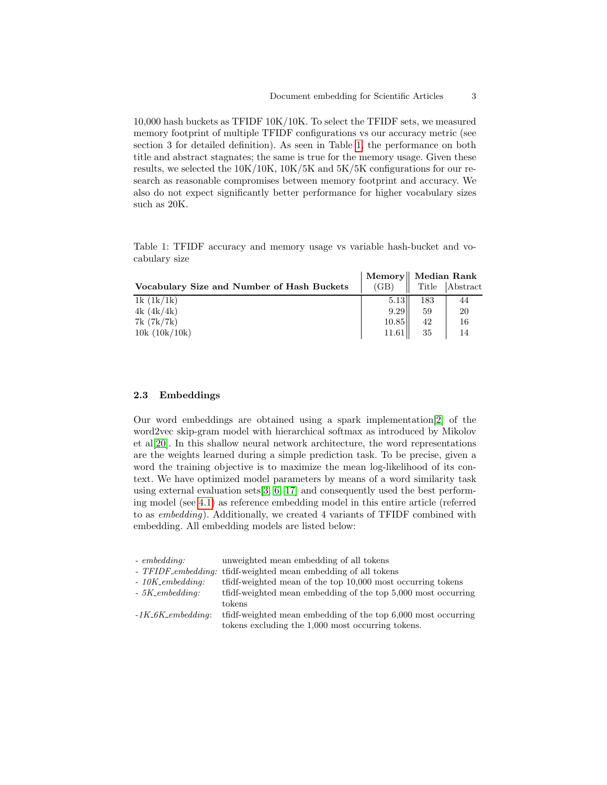10,000 hash buckets as TFIDF 10K/10K. To select the TFIDF sets, we measured memory footprint of multiple TFIDF configurations vs our accuracy metric (see section 3 for detailed definition). As seen in Table [1,](#page-2-0) the performance on both title and abstract stagnates; the same is true for the memory usage. Given these results, we selected the 10K/10K, 10K/5K and 5K/5K configurations for our research as reasonable compromises between memory footprint and accuracy. We also do not expect significantly better performance for higher vocabulary sizes such as 20K.

<span id="page-2-0"></span>Table 1: TFIDF accuracy and memory usage vs variable hash-bucket and vocabulary size

|                                            |       | Memory    Median Rank |                |
|--------------------------------------------|-------|-----------------------|----------------|
| Vocabulary Size and Number of Hash Buckets | (GB)  |                       | Title Abstract |
| 1k(1k/1k)                                  | 5.13  | 183                   | 44             |
| 4k(4k/4k)                                  | 9.29  | 59                    | 20             |
| 7k(7k/7k)                                  | 10.85 | 42                    | 16             |
| 10k(10k/10k)                               | 11.61 | 35                    |                |

#### <span id="page-2-1"></span>2.3 Embeddings

Our word embeddings are obtained using a spark implementation[\[2\]](#page-12-12) of the word2vec skip-gram model with hierarchical softmax as introduced by Mikolov et al[\[20\]](#page-13-10). In this shallow neural network architecture, the word representations are the weights learned during a simple prediction task. To be precise, given a word the training objective is to maximize the mean log-likelihood of its context. We have optimized model parameters by means of a word similarity task using external evaluation sets[\[3,](#page-12-13) [6,](#page-12-14) [17\]](#page-13-11) and consequently used the best performing model (see [4.1\)](#page-3-0) as reference embedding model in this entire article (referred to as embedding). Additionally, we created 4 variants of TFIDF combined with embedding. All embedding models are listed below:

| $-$ embedding:                 | unweighted mean embedding of all tokens                        |
|--------------------------------|----------------------------------------------------------------|
|                                | - TFIDF_embedding: tfidf-weighted mean embedding of all tokens |
| $-10K$ <sub>-</sub> embedding: | tfidf-weighted mean of the top 10,000 most occurring tokens    |
| $-5K$ <sub>-</sub> embedding:  | tfidf-weighted mean embedding of the top 5,000 most occurring  |
|                                | tokens                                                         |
| $-1K_6K_$ embedding:           | tfidf-weighted mean embedding of the top 6,000 most occurring  |
|                                | tokens excluding the 1,000 most occurring tokens.              |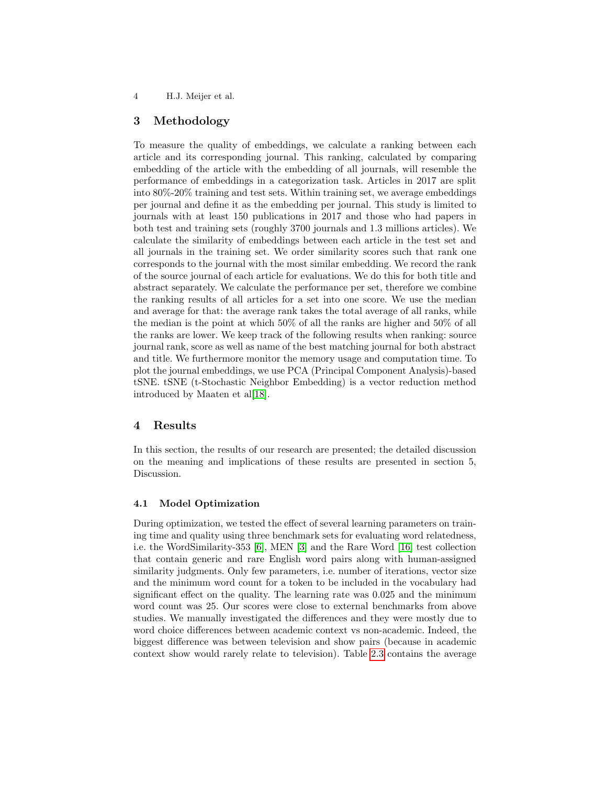4 H.J. Meijer et al.

### 3 Methodology

To measure the quality of embeddings, we calculate a ranking between each article and its corresponding journal. This ranking, calculated by comparing embedding of the article with the embedding of all journals, will resemble the performance of embeddings in a categorization task. Articles in 2017 are split into 80%-20% training and test sets. Within training set, we average embeddings per journal and define it as the embedding per journal. This study is limited to journals with at least 150 publications in 2017 and those who had papers in both test and training sets (roughly 3700 journals and 1.3 millions articles). We calculate the similarity of embeddings between each article in the test set and all journals in the training set. We order similarity scores such that rank one corresponds to the journal with the most similar embedding. We record the rank of the source journal of each article for evaluations. We do this for both title and abstract separately. We calculate the performance per set, therefore we combine the ranking results of all articles for a set into one score. We use the median and average for that: the average rank takes the total average of all ranks, while the median is the point at which 50% of all the ranks are higher and 50% of all the ranks are lower. We keep track of the following results when ranking: source journal rank, score as well as name of the best matching journal for both abstract and title. We furthermore monitor the memory usage and computation time. To plot the journal embeddings, we use PCA (Principal Component Analysis)-based tSNE. tSNE (t-Stochastic Neighbor Embedding) is a vector reduction method introduced by Maaten et al[\[18\]](#page-13-12).

### 4 Results

In this section, the results of our research are presented; the detailed discussion on the meaning and implications of these results are presented in section 5, Discussion.

#### <span id="page-3-0"></span>4.1 Model Optimization

During optimization, we tested the effect of several learning parameters on training time and quality using three benchmark sets for evaluating word relatedness, i.e. the WordSimilarity-353 [\[6\]](#page-12-14), MEN [\[3\]](#page-12-13) and the Rare Word [\[16\]](#page-12-3) test collection that contain generic and rare English word pairs along with human-assigned similarity judgments. Only few parameters, i.e. number of iterations, vector size and the minimum word count for a token to be included in the vocabulary had significant effect on the quality. The learning rate was 0.025 and the minimum word count was 25. Our scores were close to external benchmarks from above studies. We manually investigated the differences and they were mostly due to word choice differences between academic context vs non-academic. Indeed, the biggest difference was between television and show pairs (because in academic context show would rarely relate to television). Table [2.3](#page-2-1) contains the average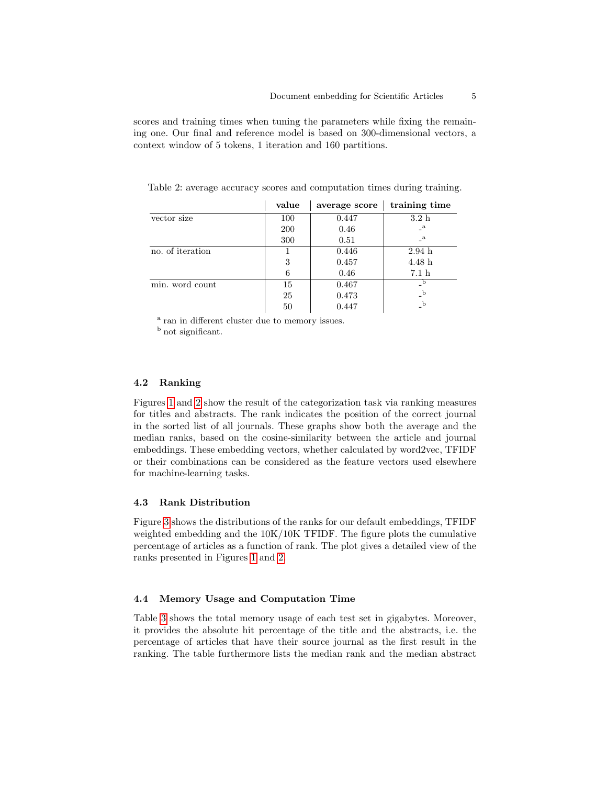scores and training times when tuning the parameters while fixing the remaining one. Our final and reference model is based on 300-dimensional vectors, a context window of 5 tokens, 1 iteration and 160 partitions.

Table 2: average accuracy scores and computation times during training.

|                  | value | average score | training time    |
|------------------|-------|---------------|------------------|
| vector size      | 100   | 0.447         | 3.2h             |
|                  | 200   | 0.46          | $\mathbf{a}$     |
|                  | 300   | 0.51          | $\mathbf{a}$     |
| no. of iteration |       | 0.446         | 2.94h            |
|                  | 3     | 0.457         | 4.48h            |
|                  | 6     | 0.46          | 7.1 <sub>h</sub> |
| min. word count  | 15    | 0.467         |                  |
|                  | 25    | 0.473         | $\mathbf{b}$     |
|                  | 50    | 0.447         | $\mathbf{b}$     |

<sup>a</sup> ran in different cluster due to memory issues.

<sup>b</sup> not significant.

#### 4.2 Ranking

Figures [1](#page-5-0) and [2](#page-5-0) show the result of the categorization task via ranking measures for titles and abstracts. The rank indicates the position of the correct journal in the sorted list of all journals. These graphs show both the average and the median ranks, based on the cosine-similarity between the article and journal embeddings. These embedding vectors, whether calculated by word2vec, TFIDF or their combinations can be considered as the feature vectors used elsewhere for machine-learning tasks.

### 4.3 Rank Distribution

Figure [3](#page-5-1) shows the distributions of the ranks for our default embeddings, TFIDF weighted embedding and the 10K/10K TFIDF. The figure plots the cumulative percentage of articles as a function of rank. The plot gives a detailed view of the ranks presented in Figures [1](#page-5-0) and [2.](#page-5-0)

#### 4.4 Memory Usage and Computation Time

Table [3](#page-6-0) shows the total memory usage of each test set in gigabytes. Moreover, it provides the absolute hit percentage of the title and the abstracts, i.e. the percentage of articles that have their source journal as the first result in the ranking. The table furthermore lists the median rank and the median abstract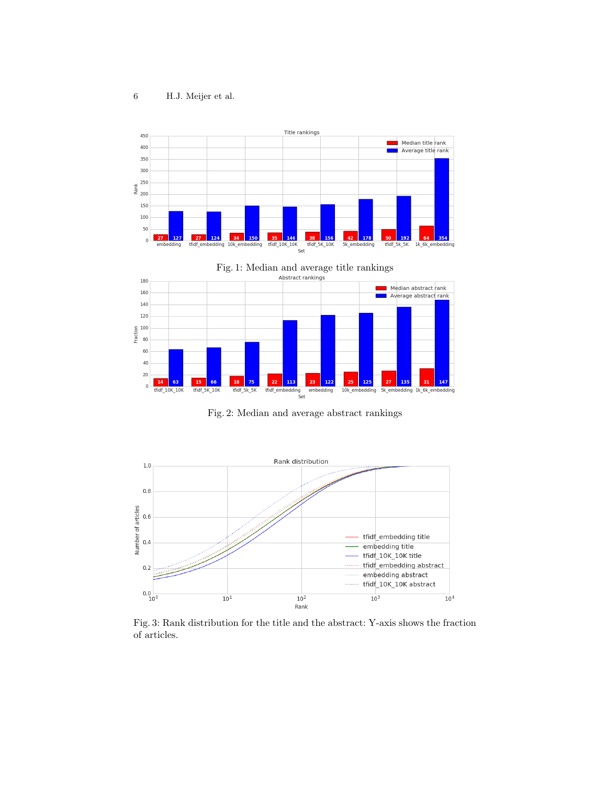<span id="page-5-0"></span>



Fig. 2: Median and average abstract rankings

<span id="page-5-1"></span>

Fig. 3: Rank distribution for the title and the abstract: Y-axis shows the fraction of articles.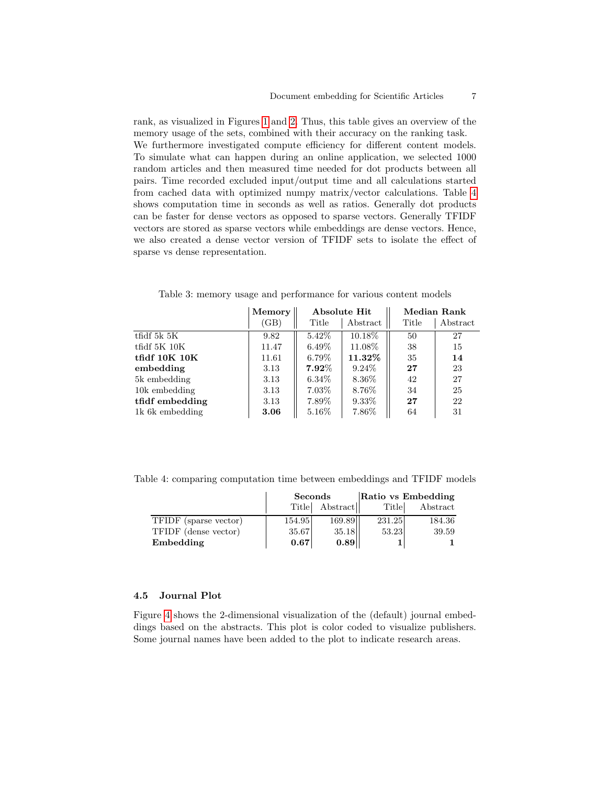rank, as visualized in Figures [1](#page-5-0) and [2.](#page-5-0) Thus, this table gives an overview of the memory usage of the sets, combined with their accuracy on the ranking task. We furthermore investigated compute efficiency for different content models. To simulate what can happen during an online application, we selected 1000 random articles and then measured time needed for dot products between all pairs. Time recorded excluded input/output time and all calculations started from cached data with optimized numpy matrix/vector calculations. Table [4](#page-6-1) shows computation time in seconds as well as ratios. Generally dot products can be faster for dense vectors as opposed to sparse vectors. Generally TFIDF vectors are stored as sparse vectors while embeddings are dense vectors. Hence, we also created a dense vector version of TFIDF sets to isolate the effect of sparse vs dense representation.

|                      | Memory | Absolute Hit |           | <b>Median Rank</b> |          |
|----------------------|--------|--------------|-----------|--------------------|----------|
|                      | (GB)   | Title        | Abstract  | Title              | Abstract |
| $t$ fidf 5 $k$ 5 $K$ | 9.82   | $5.42\%$     | 10.18%    | 50                 | 27       |
| tfidf $5K$ $10K$     | 11.47  | $6.49\%$     | 11.08%    | 38                 | 15       |
| tfidf $10K$ $10K$    | 11.61  | $6.79\%$     | $11.32\%$ | 35                 | 14       |
| embedding            | 3.13   | $7.92\%$     | $9.24\%$  | 27                 | 23       |
| 5k embedding         | 3.13   | $6.34\%$     | 8.36\%    | 42                 | 27       |
| 10k embedding        | 3.13   | 7.03%        | 8.76%     | 34                 | 25       |
| tfidf embedding      | 3.13   | 7.89%        | $9.33\%$  | 27                 | 22       |
| 1k 6k embedding      | 3.06   | $5.16\%$     | 7.86%     | 64                 | 31       |

<span id="page-6-0"></span>Table 3: memory usage and performance for various content models

<span id="page-6-1"></span>Table 4: comparing computation time between embeddings and TFIDF models

|                       | Seconds |          | Ratio vs Embedding |          |  |
|-----------------------|---------|----------|--------------------|----------|--|
|                       | Title   | Abstract | Title              | Abstract |  |
| TFIDF (sparse vector) | 154.95  | 169.89   | 231.25             | 184.36   |  |
| TFIDF (dense vector)  | 35.67   | 35.18    | 53.23              | 39.59    |  |
| Embedding             | 0.67    | 0.89     |                    |          |  |

#### 4.5 Journal Plot

Figure [4](#page-7-0) shows the 2-dimensional visualization of the (default) journal embeddings based on the abstracts. This plot is color coded to visualize publishers. Some journal names have been added to the plot to indicate research areas.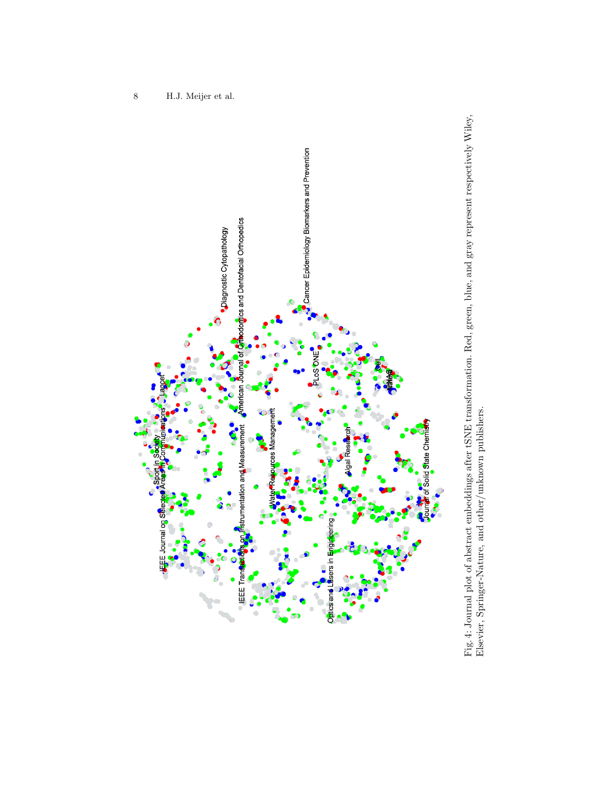<span id="page-7-0"></span>

Fig. 4: Journal plot of abstract embeddings after tSNE transformation. Red, green, blue, and gray represent respectively Wiley, Elsevier, Springer-Nature, and other/unknown publishers. Fig. 4: Journal plot of abstract embeddings after tSNE transformation. Red, green, blue, and gray represent respectively Wiley, Elsevier, Springer-Nature, and other/unknown publishers.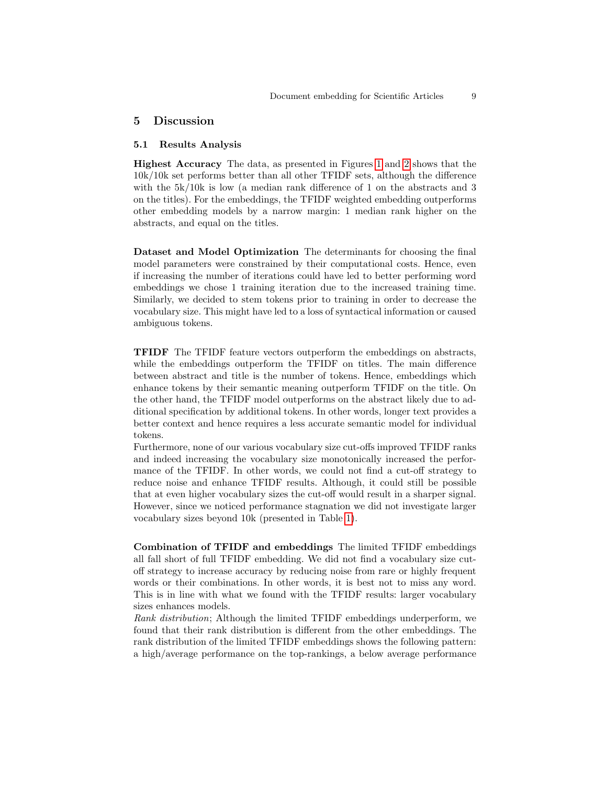### 5 Discussion

#### 5.1 Results Analysis

Highest Accuracy The data, as presented in Figures [1](#page-5-0) and [2](#page-5-0) shows that the 10k/10k set performs better than all other TFIDF sets, although the difference with the  $5k/10k$  is low (a median rank difference of 1 on the abstracts and 3 on the titles). For the embeddings, the TFIDF weighted embedding outperforms other embedding models by a narrow margin: 1 median rank higher on the abstracts, and equal on the titles.

Dataset and Model Optimization The determinants for choosing the final model parameters were constrained by their computational costs. Hence, even if increasing the number of iterations could have led to better performing word embeddings we chose 1 training iteration due to the increased training time. Similarly, we decided to stem tokens prior to training in order to decrease the vocabulary size. This might have led to a loss of syntactical information or caused ambiguous tokens.

TFIDF The TFIDF feature vectors outperform the embeddings on abstracts, while the embeddings outperform the TFIDF on titles. The main difference between abstract and title is the number of tokens. Hence, embeddings which enhance tokens by their semantic meaning outperform TFIDF on the title. On the other hand, the TFIDF model outperforms on the abstract likely due to additional specification by additional tokens. In other words, longer text provides a better context and hence requires a less accurate semantic model for individual tokens.

Furthermore, none of our various vocabulary size cut-offs improved TFIDF ranks and indeed increasing the vocabulary size monotonically increased the performance of the TFIDF. In other words, we could not find a cut-off strategy to reduce noise and enhance TFIDF results. Although, it could still be possible that at even higher vocabulary sizes the cut-off would result in a sharper signal. However, since we noticed performance stagnation we did not investigate larger vocabulary sizes beyond 10k (presented in Table [1\)](#page-2-0).

Combination of TFIDF and embeddings The limited TFIDF embeddings all fall short of full TFIDF embedding. We did not find a vocabulary size cutoff strategy to increase accuracy by reducing noise from rare or highly frequent words or their combinations. In other words, it is best not to miss any word. This is in line with what we found with the TFIDF results: larger vocabulary sizes enhances models.

Rank distribution; Although the limited TFIDF embeddings underperform, we found that their rank distribution is different from the other embeddings. The rank distribution of the limited TFIDF embeddings shows the following pattern: a high/average performance on the top-rankings, a below average performance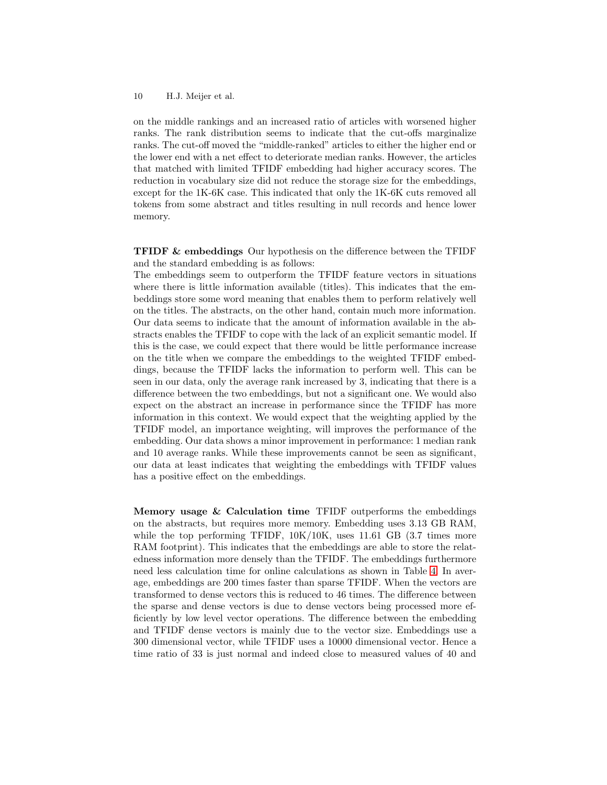#### 10 H.J. Meijer et al.

on the middle rankings and an increased ratio of articles with worsened higher ranks. The rank distribution seems to indicate that the cut-offs marginalize ranks. The cut-off moved the "middle-ranked" articles to either the higher end or the lower end with a net effect to deteriorate median ranks. However, the articles that matched with limited TFIDF embedding had higher accuracy scores. The reduction in vocabulary size did not reduce the storage size for the embeddings, except for the 1K-6K case. This indicated that only the 1K-6K cuts removed all tokens from some abstract and titles resulting in null records and hence lower memory.

TFIDF & embeddings Our hypothesis on the difference between the TFIDF and the standard embedding is as follows:

The embeddings seem to outperform the TFIDF feature vectors in situations where there is little information available (titles). This indicates that the embeddings store some word meaning that enables them to perform relatively well on the titles. The abstracts, on the other hand, contain much more information. Our data seems to indicate that the amount of information available in the abstracts enables the TFIDF to cope with the lack of an explicit semantic model. If this is the case, we could expect that there would be little performance increase on the title when we compare the embeddings to the weighted TFIDF embeddings, because the TFIDF lacks the information to perform well. This can be seen in our data, only the average rank increased by 3, indicating that there is a difference between the two embeddings, but not a significant one. We would also expect on the abstract an increase in performance since the TFIDF has more information in this context. We would expect that the weighting applied by the TFIDF model, an importance weighting, will improves the performance of the embedding. Our data shows a minor improvement in performance: 1 median rank and 10 average ranks. While these improvements cannot be seen as significant, our data at least indicates that weighting the embeddings with TFIDF values has a positive effect on the embeddings.

Memory usage  $&$  Calculation time TFIDF outperforms the embeddings on the abstracts, but requires more memory. Embedding uses 3.13 GB RAM, while the top performing TFIDF,  $10K/10K$ , uses 11.61 GB (3.7 times more RAM footprint). This indicates that the embeddings are able to store the relatedness information more densely than the TFIDF. The embeddings furthermore need less calculation time for online calculations as shown in Table [4.](#page-6-1) In average, embeddings are 200 times faster than sparse TFIDF. When the vectors are transformed to dense vectors this is reduced to 46 times. The difference between the sparse and dense vectors is due to dense vectors being processed more efficiently by low level vector operations. The difference between the embedding and TFIDF dense vectors is mainly due to the vector size. Embeddings use a 300 dimensional vector, while TFIDF uses a 10000 dimensional vector. Hence a time ratio of 33 is just normal and indeed close to measured values of 40 and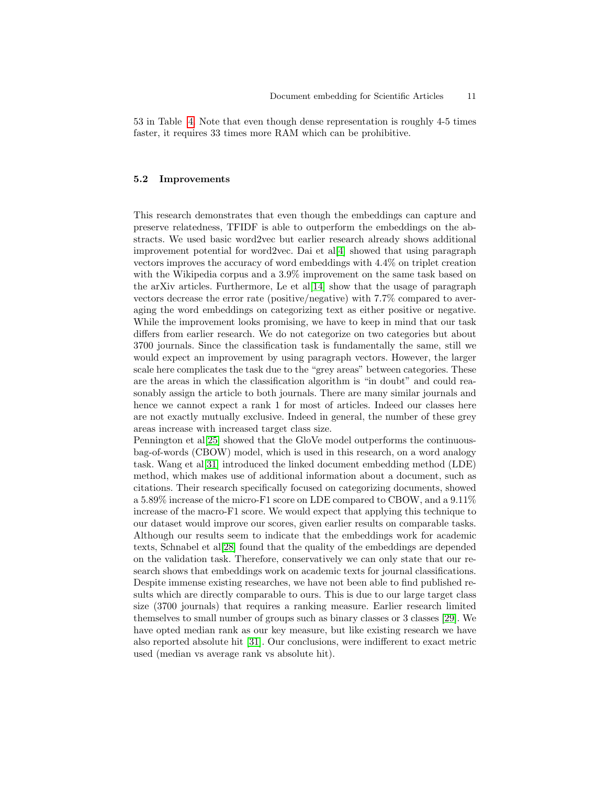53 in Table [4.](#page-6-1) Note that even though dense representation is roughly 4-5 times faster, it requires 33 times more RAM which can be prohibitive.

#### 5.2 Improvements

This research demonstrates that even though the embeddings can capture and preserve relatedness, TFIDF is able to outperform the embeddings on the abstracts. We used basic word2vec but earlier research already shows additional improvement potential for word2vec. Dai et al[\[4\]](#page-12-8) showed that using paragraph vectors improves the accuracy of word embeddings with 4.4% on triplet creation with the Wikipedia corpus and a 3.9% improvement on the same task based on the arXiv articles. Furthermore, Le et al[\[14\]](#page-12-15) show that the usage of paragraph vectors decrease the error rate (positive/negative) with 7.7% compared to averaging the word embeddings on categorizing text as either positive or negative. While the improvement looks promising, we have to keep in mind that our task differs from earlier research. We do not categorize on two categories but about 3700 journals. Since the classification task is fundamentally the same, still we would expect an improvement by using paragraph vectors. However, the larger scale here complicates the task due to the "grey areas" between categories. These are the areas in which the classification algorithm is "in doubt" and could reasonably assign the article to both journals. There are many similar journals and hence we cannot expect a rank 1 for most of articles. Indeed our classes here are not exactly mutually exclusive. Indeed in general, the number of these grey areas increase with increased target class size.

Pennington et al[\[25\]](#page-13-13) showed that the GloVe model outperforms the continuousbag-of-words (CBOW) model, which is used in this research, on a word analogy task. Wang et al[\[31\]](#page-13-14) introduced the linked document embedding method (LDE) method, which makes use of additional information about a document, such as citations. Their research specifically focused on categorizing documents, showed a 5.89% increase of the micro-F1 score on LDE compared to CBOW, and a 9.11% increase of the macro-F1 score. We would expect that applying this technique to our dataset would improve our scores, given earlier results on comparable tasks. Although our results seem to indicate that the embeddings work for academic texts, Schnabel et al[\[28\]](#page-13-15) found that the quality of the embeddings are depended on the validation task. Therefore, conservatively we can only state that our research shows that embeddings work on academic texts for journal classifications. Despite immense existing researches, we have not been able to find published results which are directly comparable to ours. This is due to our large target class size (3700 journals) that requires a ranking measure. Earlier research limited themselves to small number of groups such as binary classes or 3 classes [\[29\]](#page-13-16). We have opted median rank as our key measure, but like existing research we have also reported absolute hit [\[31\]](#page-13-14). Our conclusions, were indifferent to exact metric used (median vs average rank vs absolute hit).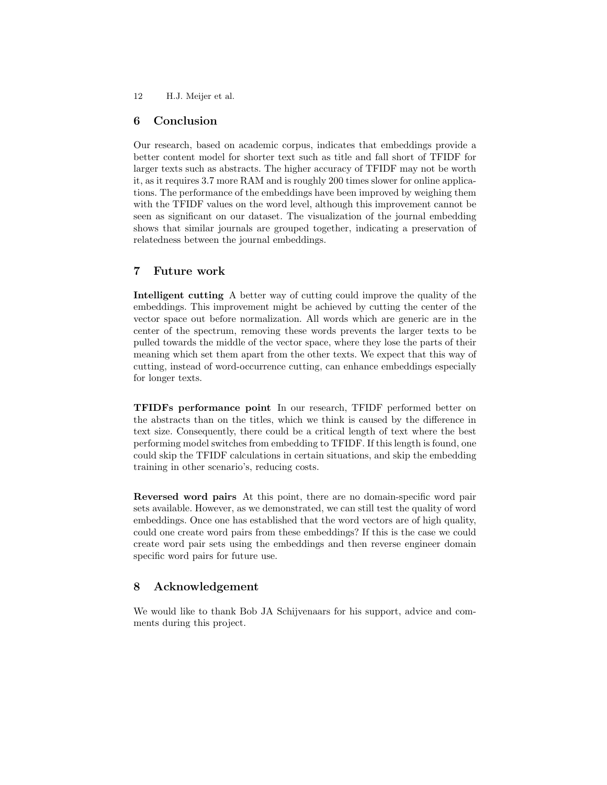12 H.J. Meijer et al.

### 6 Conclusion

Our research, based on academic corpus, indicates that embeddings provide a better content model for shorter text such as title and fall short of TFIDF for larger texts such as abstracts. The higher accuracy of TFIDF may not be worth it, as it requires 3.7 more RAM and is roughly 200 times slower for online applications. The performance of the embeddings have been improved by weighing them with the TFIDF values on the word level, although this improvement cannot be seen as significant on our dataset. The visualization of the journal embedding shows that similar journals are grouped together, indicating a preservation of relatedness between the journal embeddings.

### 7 Future work

Intelligent cutting A better way of cutting could improve the quality of the embeddings. This improvement might be achieved by cutting the center of the vector space out before normalization. All words which are generic are in the center of the spectrum, removing these words prevents the larger texts to be pulled towards the middle of the vector space, where they lose the parts of their meaning which set them apart from the other texts. We expect that this way of cutting, instead of word-occurrence cutting, can enhance embeddings especially for longer texts.

TFIDFs performance point In our research, TFIDF performed better on the abstracts than on the titles, which we think is caused by the difference in text size. Consequently, there could be a critical length of text where the best performing model switches from embedding to TFIDF. If this length is found, one could skip the TFIDF calculations in certain situations, and skip the embedding training in other scenario's, reducing costs.

Reversed word pairs At this point, there are no domain-specific word pair sets available. However, as we demonstrated, we can still test the quality of word embeddings. Once one has established that the word vectors are of high quality, could one create word pairs from these embeddings? If this is the case we could create word pair sets using the embeddings and then reverse engineer domain specific word pairs for future use.

### 8 Acknowledgement

We would like to thank Bob JA Schijvenaars for his support, advice and comments during this project.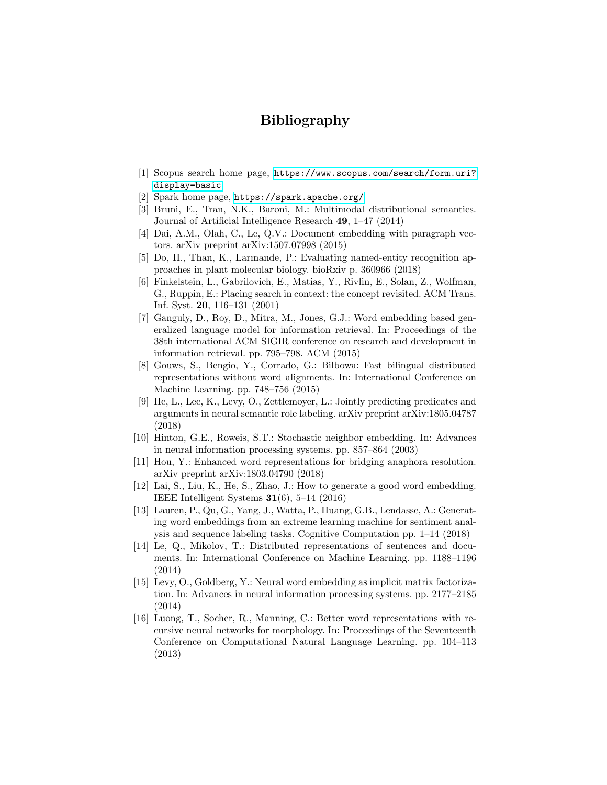## Bibliography

- <span id="page-12-11"></span>[1] Scopus search home page, [https://www.scopus.com/search/form.uri?](https://www.scopus.com/search/form.uri?display=basic) [display=basic](https://www.scopus.com/search/form.uri?display=basic)
- <span id="page-12-12"></span>[2] Spark home page, <https://spark.apache.org/>
- <span id="page-12-13"></span>[3] Bruni, E., Tran, N.K., Baroni, M.: Multimodal distributional semantics. Journal of Artificial Intelligence Research 49, 1–47 (2014)
- <span id="page-12-8"></span>[4] Dai, A.M., Olah, C., Le, Q.V.: Document embedding with paragraph vectors. arXiv preprint arXiv:1507.07998 (2015)
- <span id="page-12-1"></span>[5] Do, H., Than, K., Larmande, P.: Evaluating named-entity recognition approaches in plant molecular biology. bioRxiv p. 360966 (2018)
- <span id="page-12-14"></span>[6] Finkelstein, L., Gabrilovich, E., Matias, Y., Rivlin, E., Solan, Z., Wolfman, G., Ruppin, E.: Placing search in context: the concept revisited. ACM Trans. Inf. Syst. 20, 116–131 (2001)
- <span id="page-12-5"></span>[7] Ganguly, D., Roy, D., Mitra, M., Jones, G.J.: Word embedding based generalized language model for information retrieval. In: Proceedings of the 38th international ACM SIGIR conference on research and development in information retrieval. pp. 795–798. ACM (2015)
- <span id="page-12-4"></span>[8] Gouws, S., Bengio, Y., Corrado, G.: Bilbowa: Fast bilingual distributed representations without word alignments. In: International Conference on Machine Learning. pp. 748–756 (2015)
- <span id="page-12-2"></span>[9] He, L., Lee, K., Levy, O., Zettlemoyer, L.: Jointly predicting predicates and arguments in neural semantic role labeling. arXiv preprint arXiv:1805.04787 (2018)
- <span id="page-12-9"></span>[10] Hinton, G.E., Roweis, S.T.: Stochastic neighbor embedding. In: Advances in neural information processing systems. pp. 857–864 (2003)
- <span id="page-12-0"></span>[11] Hou, Y.: Enhanced word representations for bridging anaphora resolution. arXiv preprint arXiv:1803.04790 (2018)
- <span id="page-12-10"></span>[12] Lai, S., Liu, K., He, S., Zhao, J.: How to generate a good word embedding. IEEE Intelligent Systems  $31(6)$ , 5–14 (2016)
- <span id="page-12-7"></span>[13] Lauren, P., Qu, G., Yang, J., Watta, P., Huang, G.B., Lendasse, A.: Generating word embeddings from an extreme learning machine for sentiment analysis and sequence labeling tasks. Cognitive Computation pp. 1–14 (2018)
- <span id="page-12-15"></span>[14] Le, Q., Mikolov, T.: Distributed representations of sentences and documents. In: International Conference on Machine Learning. pp. 1188–1196 (2014)
- <span id="page-12-6"></span>[15] Levy, O., Goldberg, Y.: Neural word embedding as implicit matrix factorization. In: Advances in neural information processing systems. pp. 2177–2185 (2014)
- <span id="page-12-3"></span>[16] Luong, T., Socher, R., Manning, C.: Better word representations with recursive neural networks for morphology. In: Proceedings of the Seventeenth Conference on Computational Natural Language Learning. pp. 104–113 (2013)